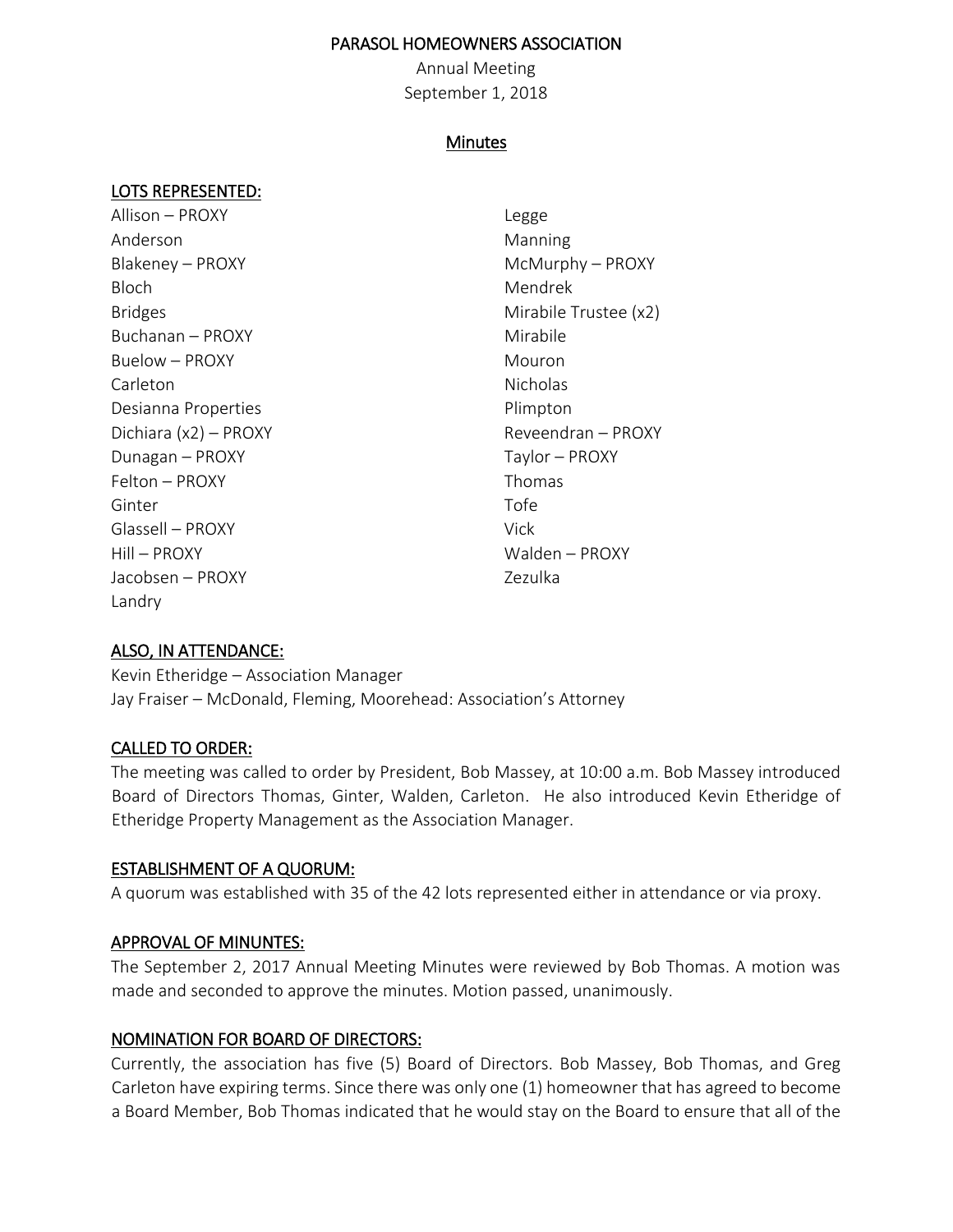### PARASOL HOMEOWNERS ASSOCIATION

Annual Meeting September 1, 2018

### Minutes

### LOTS REPRESENTED:

Allison – PROXY Legge Anderson **Manning** Blakeney – PROXY McMurphy – PROXY Bloch Mendrek Bridges **Mirabile Trustee (x2)** Buchanan – PROXY Mirabile Buelow – PROXY Mouron Carleton Nicholas Desianna Properties **Plimpton** Dichiara (x2) – PROXY Reveendran – PROXY Dunagan – PROXY Taylor – PROXY Felton – PROXY Thomas Ginter **Ginter Contract Contract Contract Contract Contract Contract Contract Contract Contract Contract Contra** Glassell – PROXY Vick Hill – PROXY Walden – PROXY Jacobsen – PROXY Zezulka Landry

## ALSO, IN ATTENDANCE:

Kevin Etheridge – Association Manager Jay Fraiser – McDonald, Fleming, Moorehead: Association's Attorney

### CALLED TO ORDER:

The meeting was called to order by President, Bob Massey, at 10:00 a.m. Bob Massey introduced Board of Directors Thomas, Ginter, Walden, Carleton. He also introduced Kevin Etheridge of Etheridge Property Management as the Association Manager.

### ESTABLISHMENT OF A QUORUM:

A quorum was established with 35 of the 42 lots represented either in attendance or via proxy.

### APPROVAL OF MINUNTES:

The September 2, 2017 Annual Meeting Minutes were reviewed by Bob Thomas. A motion was made and seconded to approve the minutes. Motion passed, unanimously.

### NOMINATION FOR BOARD OF DIRECTORS:

Currently, the association has five (5) Board of Directors. Bob Massey, Bob Thomas, and Greg Carleton have expiring terms. Since there was only one (1) homeowner that has agreed to become a Board Member, Bob Thomas indicated that he would stay on the Board to ensure that all of the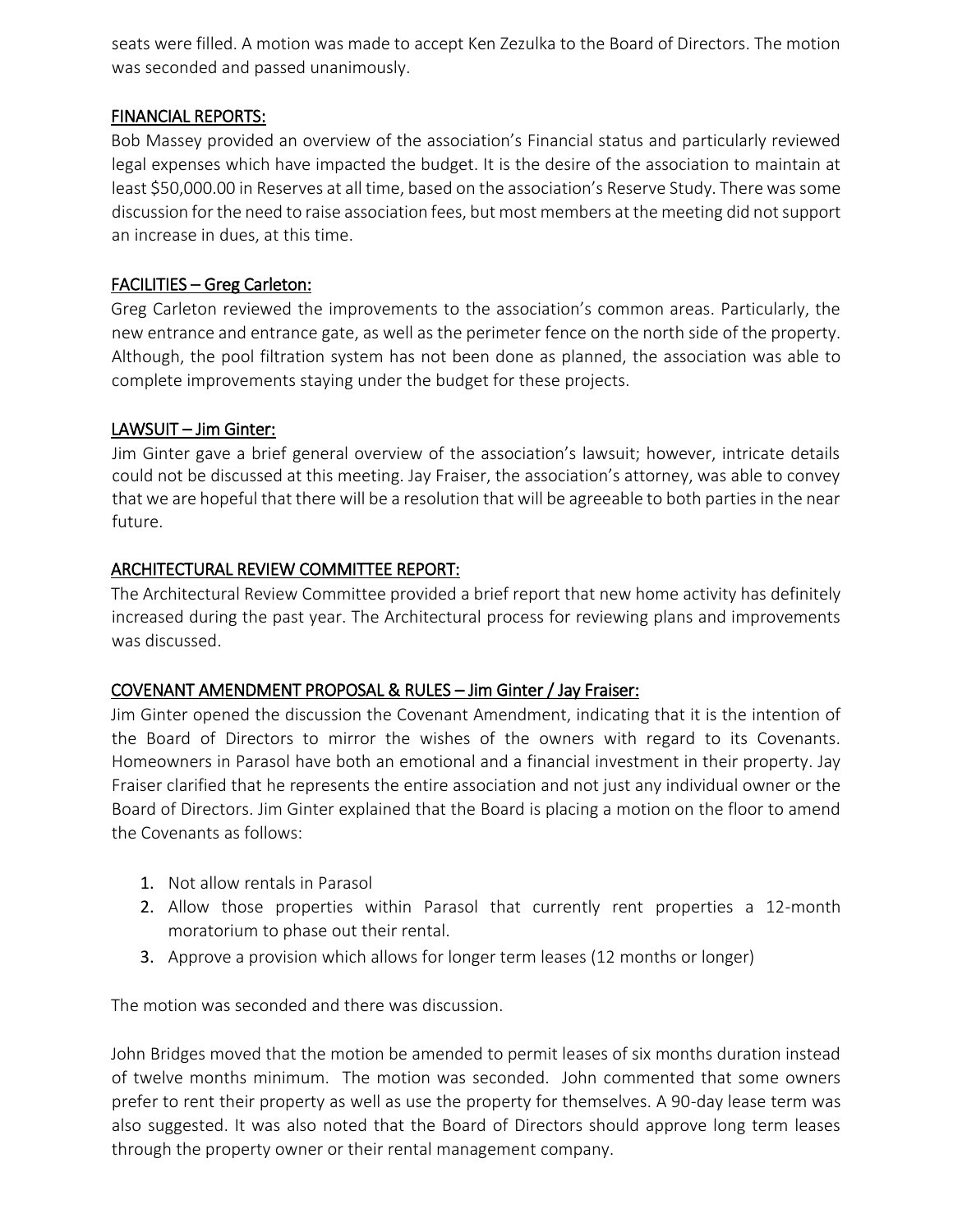seats were filled. A motion was made to accept Ken Zezulka to the Board of Directors. The motion was seconded and passed unanimously.

# FINANCIAL REPORTS:

Bob Massey provided an overview of the association's Financial status and particularly reviewed legal expenses which have impacted the budget. It is the desire of the association to maintain at least \$50,000.00 in Reserves at all time, based on the association's Reserve Study. There was some discussion for the need to raise association fees, but most members at the meeting did not support an increase in dues, at this time.

# FACILITIES – Greg Carleton:

Greg Carleton reviewed the improvements to the association's common areas. Particularly, the new entrance and entrance gate, as well as the perimeter fence on the north side of the property. Although, the pool filtration system has not been done as planned, the association was able to complete improvements staying under the budget for these projects.

# LAWSUIT – Jim Ginter:

Jim Ginter gave a brief general overview of the association's lawsuit; however, intricate details could not be discussed at this meeting. Jay Fraiser, the association's attorney, was able to convey that we are hopeful that there will be a resolution that will be agreeable to both parties in the near future.

# ARCHITECTURAL REVIEW COMMITTEE REPORT:

The Architectural Review Committee provided a brief report that new home activity has definitely increased during the past year. The Architectural process for reviewing plans and improvements was discussed.

## COVENANT AMENDMENT PROPOSAL & RULES – Jim Ginter / Jay Fraiser:

Jim Ginter opened the discussion the Covenant Amendment, indicating that it is the intention of the Board of Directors to mirror the wishes of the owners with regard to its Covenants. Homeowners in Parasol have both an emotional and a financial investment in their property. Jay Fraiser clarified that he represents the entire association and not just any individual owner or the Board of Directors. Jim Ginter explained that the Board is placing a motion on the floor to amend the Covenants as follows:

- 1. Not allow rentals in Parasol
- 2. Allow those properties within Parasol that currently rent properties a 12-month moratorium to phase out their rental.
- 3. Approve a provision which allows for longer term leases (12 months or longer)

The motion was seconded and there was discussion.

John Bridges moved that the motion be amended to permit leases of six months duration instead of twelve months minimum. The motion was seconded. John commented that some owners prefer to rent their property as well as use the property for themselves. A 90-day lease term was also suggested. It was also noted that the Board of Directors should approve long term leases through the property owner or their rental management company.